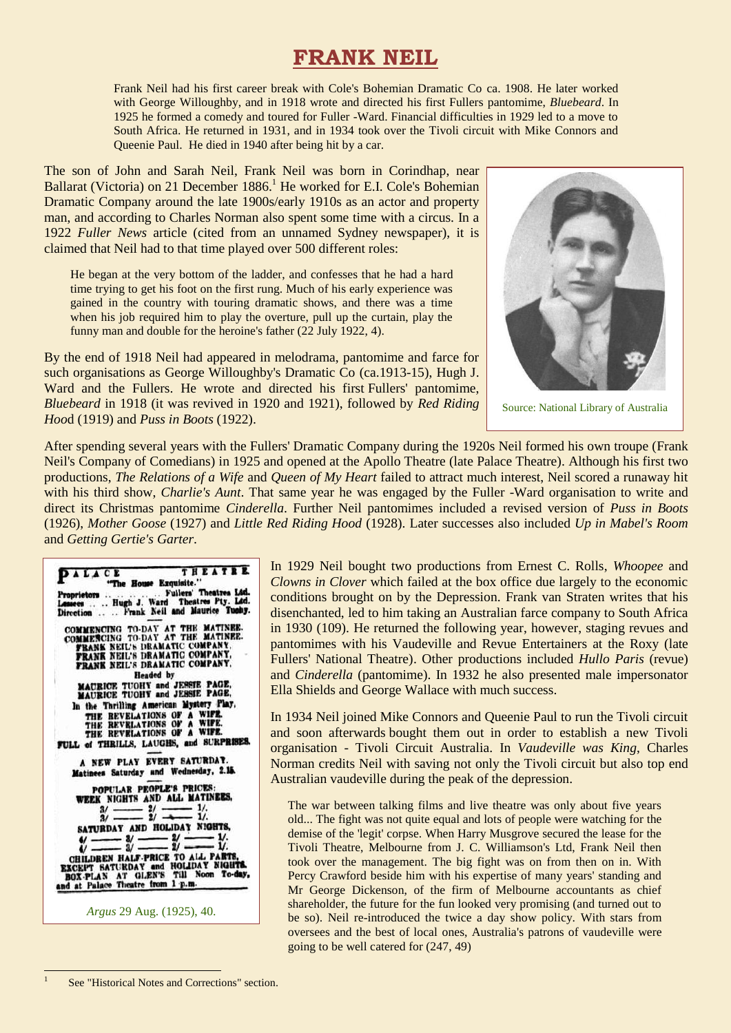# **FRANK NEIL**

Frank Neil had his first career break with Cole's Bohemian Dramatic Co ca. 1908. He later worked with George Willoughby, and in 1918 wrote and directed his first Fullers pantomime, *Bluebeard*. In 1925 he formed a comedy and toured for Fuller -Ward. Financial difficulties in 1929 led to a move to South Africa. He returned in 1931, and in 1934 took over the Tivoli circuit with Mike Connors and Queenie Paul. He died in 1940 after being hit by a car.

The son of John and Sarah Neil, Frank Neil was born in Corindhap, near Ballarat (Victoria) on 21 December 1886.<sup>1</sup> He worked for E.I. Cole's Bohemian Dramatic Company around the late 1900s/early 1910s as an actor and property man, and according to Charles Norman also spent some time with a circus. In a 1922 *Fuller News* article (cited from an unnamed Sydney newspaper), it is claimed that Neil had to that time played over 500 different roles:

He began at the very bottom of the ladder, and confesses that he had a hard time trying to get his foot on the first rung. Much of his early experience was gained in the country with touring dramatic shows, and there was a time when his job required him to play the overture, pull up the curtain, play the funny man and double for the heroine's father (22 July 1922, 4).

By the end of 1918 Neil had appeared in melodrama, pantomime and farce for such organisations as George Willoughby's Dramatic Co (ca.1913-15), Hugh J. Ward and the Fullers. He wrote and directed his first Fullers' pantomime, *Bluebeard* in 1918 (it was revived in 1920 and 1921), followed by *Red Riding Hoo*d (1919) and *Puss in Boots* (1922).



Source: National Library of Australia

After spending several years with the Fullers' Dramatic Company during the 1920s Neil formed his own troupe (Frank Neil's Company of Comedians) in 1925 and opened at the Apollo Theatre (late Palace Theatre). Although his first two productions, *The Relations of a Wife* and *Queen of My Heart* failed to attract much interest, Neil scored a runaway hit with his third show, *Charlie's Aunt*. That same year he was engaged by the Fuller -Ward organisation to write and direct its Christmas pantomime *Cinderella*. Further Neil pantomimes included a revised version of *Puss in Boots* (1926), *Mother Goose* (1927) and *Little Red Riding Hood* (1928). Later successes also included *Up in Mabel's Room* and *Getting Gertie's Garter*.

| THEATRE<br>PALACE<br>"The House Exquisite."                                                                                                                                                      |
|--------------------------------------------------------------------------------------------------------------------------------------------------------------------------------------------------|
| . Fullers' Theatres Led.<br>Lessees  Hugh J. Ward Theatres Pty. Led.<br>Direction  Frank Neil and Maurice Tushy.                                                                                 |
| COMMENCING TO-DAY AT THE MATINEE.<br>COMMENCING TO-DAY AT THE MATINEE.<br>FRANK NEIL'S DRAMATIC COMPANY,<br>FRANK NEIL'S DRAMATIC COMPANY,<br>FRANK NEIL'S DRAMATIC COMPANY.<br><b>Headed</b> by |
| MAURICE TUOHY and JESSIE PAGE.<br><b>MAURICE TUOHY and JESSIE PAGE.</b>                                                                                                                          |
| In the Thrilling American Mystery Play,<br>THE REVELATIONS OF A WIFE.<br>THE REVELATIONS OF A WIFE.<br>THE REVELATIONS OF A WIFE.<br>FULL of THRILLS, LAUGHS, and SURPRISES.                     |
| A NEW PLAY EVERY SATURDAY.<br>Matinees Saturday and Wednesday, 2.15.                                                                                                                             |
| POPULAR PEOPLE'S PRICES:<br>WEEK NIGHTS AND ALL MATINEES.<br>$\frac{3}{2}$ $\frac{2}{2}$ $\frac{1}{2}$<br>SATURDAY AND HOLIDAY NIGHTS.                                                           |
| $y = y = 2$<br>CHILDREN HALF-PRICE TO ALL PARTS,<br>EXCEPT SATURDAY and HOLIDAY NIGHTS.<br>BOX-PLAN AT GLEN'S Till Noon To-day,<br>and at Palace Theatre from 1 p.m.                             |
| Argus 29 Aug. (1925), 40.                                                                                                                                                                        |

In 1929 Neil bought two productions from Ernest C. Rolls, *Whoopee* and *Clowns in Clover* which failed at the box office due largely to the economic conditions brought on by the Depression. Frank van Straten writes that his disenchanted, led to him taking an Australian farce company to South Africa in 1930 (109). He returned the following year, however, staging revues and pantomimes with his Vaudeville and Revue Entertainers at the Roxy (late Fullers' National Theatre). Other productions included *Hullo Paris* (revue) and *Cinderella* (pantomime). In 1932 he also presented male impersonator Ella Shields and George Wallace with much success.

In 1934 Neil joined Mike Connors and Queenie Paul to run the Tivoli circuit and soon afterwards bought them out in order to establish a new Tivoli organisation - Tivoli Circuit Australia. In *Vaudeville was King*, Charles Norman credits Neil with saving not only the Tivoli circuit but also top end Australian vaudeville during the peak of the depression.

The war between talking films and live theatre was only about five years old... The fight was not quite equal and lots of people were watching for the demise of the 'legit' corpse. When Harry Musgrove secured the lease for the Tivoli Theatre, Melbourne from J. C. Williamson's Ltd, Frank Neil then took over the management. The big fight was on from then on in. With Percy Crawford beside him with his expertise of many years' standing and Mr George Dickenson, of the firm of Melbourne accountants as chief shareholder, the future for the fun looked very promising (and turned out to be so). Neil re-introduced the twice a day show policy. With stars from oversees and the best of local ones, Australia's patrons of vaudeville were going to be well catered for (247, 49)

1 1

See "Historical Notes and Corrections" section.